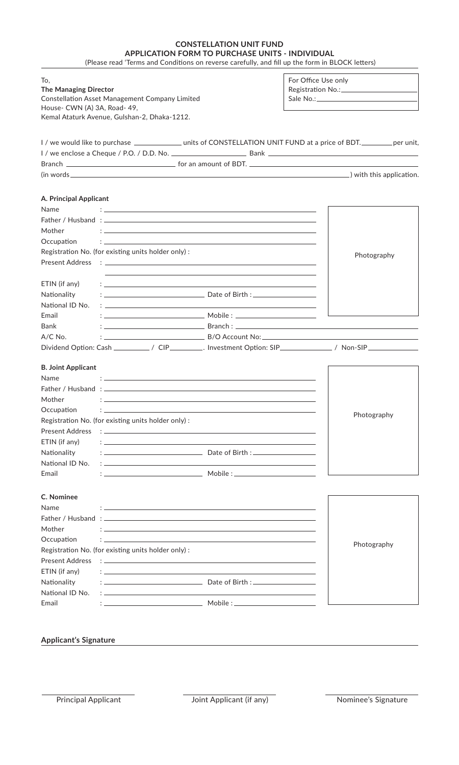## **CONSTELLATION UNIT FUND APPLICATION FORM TO PURCHASE UNITS - INDIVIDUAL**

(Please read 'Terms and Conditions on reverse carefully, and fill up the form in BLOCK letters)

| To,<br>The Managing Director<br><b>Constellation Asset Management Company Limited</b> |                                                                                                                                                                                                                                      |  | For Office Use only                                                                                                     |  |
|---------------------------------------------------------------------------------------|--------------------------------------------------------------------------------------------------------------------------------------------------------------------------------------------------------------------------------------|--|-------------------------------------------------------------------------------------------------------------------------|--|
| House- CWN (A) 3A, Road- 49,                                                          |                                                                                                                                                                                                                                      |  |                                                                                                                         |  |
|                                                                                       | Kemal Ataturk Avenue, Gulshan-2, Dhaka-1212.                                                                                                                                                                                         |  |                                                                                                                         |  |
|                                                                                       |                                                                                                                                                                                                                                      |  |                                                                                                                         |  |
|                                                                                       |                                                                                                                                                                                                                                      |  |                                                                                                                         |  |
|                                                                                       |                                                                                                                                                                                                                                      |  |                                                                                                                         |  |
|                                                                                       |                                                                                                                                                                                                                                      |  |                                                                                                                         |  |
|                                                                                       |                                                                                                                                                                                                                                      |  | (in words example and the substitution of the substitution of the substitution of the substitution of the substitution. |  |
|                                                                                       |                                                                                                                                                                                                                                      |  |                                                                                                                         |  |
| A. Principal Applicant                                                                |                                                                                                                                                                                                                                      |  |                                                                                                                         |  |
| <b>Name</b>                                                                           |                                                                                                                                                                                                                                      |  |                                                                                                                         |  |
|                                                                                       |                                                                                                                                                                                                                                      |  |                                                                                                                         |  |
| Mother                                                                                | the contract of the contract of the contract of the contract of the contract of the contract of the contract of                                                                                                                      |  |                                                                                                                         |  |
| Occupation                                                                            |                                                                                                                                                                                                                                      |  |                                                                                                                         |  |
|                                                                                       | Registration No. (for existing units holder only):                                                                                                                                                                                   |  | Photography                                                                                                             |  |
|                                                                                       |                                                                                                                                                                                                                                      |  |                                                                                                                         |  |
|                                                                                       |                                                                                                                                                                                                                                      |  |                                                                                                                         |  |
| ETIN (if any)                                                                         |                                                                                                                                                                                                                                      |  |                                                                                                                         |  |
| Nationality                                                                           |                                                                                                                                                                                                                                      |  |                                                                                                                         |  |
| National ID No.                                                                       | the contract of the contract of the contract of the contract of the contract of the contract of the contract of                                                                                                                      |  |                                                                                                                         |  |
| Email                                                                                 |                                                                                                                                                                                                                                      |  |                                                                                                                         |  |
| Bank                                                                                  |                                                                                                                                                                                                                                      |  |                                                                                                                         |  |
| $A/C$ No.                                                                             |                                                                                                                                                                                                                                      |  |                                                                                                                         |  |
|                                                                                       |                                                                                                                                                                                                                                      |  | Dividend Option: Cash ______________/ CIP____________. Investment Option: SIP_________________/ Non-SIP_____________    |  |
|                                                                                       |                                                                                                                                                                                                                                      |  |                                                                                                                         |  |
| <b>B. Joint Applicant</b>                                                             |                                                                                                                                                                                                                                      |  |                                                                                                                         |  |
| <b>Name</b>                                                                           | $\mathbf{f}$ , and the contribution of the contribution of the contribution of the contribution of the contribution of the contribution of the contribution of the contribution of the contribution of the contribution of the co    |  |                                                                                                                         |  |
|                                                                                       |                                                                                                                                                                                                                                      |  |                                                                                                                         |  |
| Mother                                                                                |                                                                                                                                                                                                                                      |  |                                                                                                                         |  |
| Occupation                                                                            |                                                                                                                                                                                                                                      |  | Photography                                                                                                             |  |
|                                                                                       | Registration No. (for existing units holder only) :                                                                                                                                                                                  |  |                                                                                                                         |  |
| <b>Present Address</b>                                                                | <u>a postupis su construire de la construcción de la construcción de la construcción de la construcción de la co</u>                                                                                                                 |  |                                                                                                                         |  |
| ETIN (if any)                                                                         | かいしょう アイ・シー アイ・シー アイ・シー かんしょう アイ・シー アイ・シー アイ・シー                                                                                                                                                                                      |  |                                                                                                                         |  |
| Nationality                                                                           |                                                                                                                                                                                                                                      |  |                                                                                                                         |  |
| National ID No.                                                                       | <u> : la construction de la construction de la construction de la construction de la construction de la construction de la construction de la construction de la construction de la construction de la construction de la constr</u> |  |                                                                                                                         |  |
| Email                                                                                 |                                                                                                                                                                                                                                      |  |                                                                                                                         |  |
|                                                                                       |                                                                                                                                                                                                                                      |  |                                                                                                                         |  |
| C. Nominee                                                                            |                                                                                                                                                                                                                                      |  |                                                                                                                         |  |
| Name                                                                                  | and the control of the control of the control of the control of the control of the control of the control of the                                                                                                                     |  |                                                                                                                         |  |
|                                                                                       |                                                                                                                                                                                                                                      |  |                                                                                                                         |  |
| Mother                                                                                | <u> 1999 - Jan James James James James James James James James James James James James James James James James J</u>                                                                                                                 |  |                                                                                                                         |  |
| Occupation                                                                            | <b>2. 《中国》中的《中国》中的《中国》中的《中国》中的《中国》中的《中国》中的《中国》中的《中国》中的《中国》中的《中国》中的《中国》中的《中国》中的《中国》中</b>                                                                                                                                              |  |                                                                                                                         |  |
|                                                                                       | Registration No. (for existing units holder only):                                                                                                                                                                                   |  | Photography                                                                                                             |  |
| <b>Present Address</b>                                                                | <u> 1988 - Andrea Andrew Maria (h. 1989).</u>                                                                                                                                                                                        |  |                                                                                                                         |  |
| ETIN (if any)                                                                         | the contract of the contract of the contract of the contract of the contract of the contract of the contract of                                                                                                                      |  |                                                                                                                         |  |
| Nationality                                                                           |                                                                                                                                                                                                                                      |  |                                                                                                                         |  |
| National ID No.                                                                       |                                                                                                                                                                                                                                      |  |                                                                                                                         |  |
|                                                                                       |                                                                                                                                                                                                                                      |  |                                                                                                                         |  |
| Email                                                                                 |                                                                                                                                                                                                                                      |  |                                                                                                                         |  |

## **Applicant's Signature**